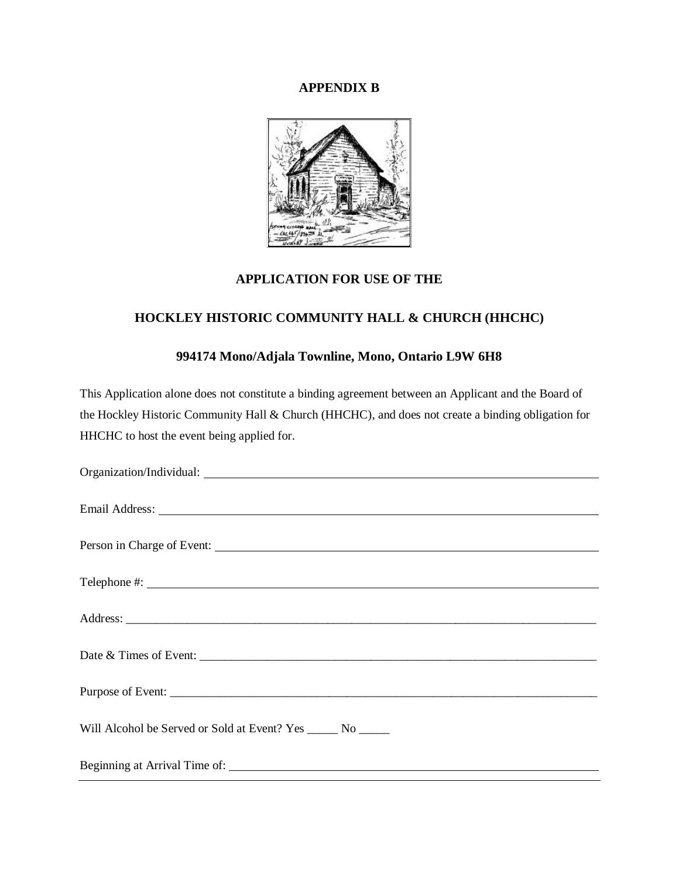## **APPENDIX B**



## **APPLICATION FOR USE OF THE**

## **HOCKLEY HISTORIC COMMUNITY HALL & CHURCH (HHCHC)**

# **994174 Mono/Adjala Townline, Mono, Ontario L9W 6H8**

This Application alone does not constitute a binding agreement between an Applicant and the Board of the Hockley Historic Community Hall & Church (HHCHC), and does not create a binding obligation for HHCHC to host the event being applied for.

| Email Address: New York Changes and Security and Security and Security and Security and Security and Security and Security and Security and Security and Security and Security and Security and Security and Security and Secu |
|--------------------------------------------------------------------------------------------------------------------------------------------------------------------------------------------------------------------------------|
| Person in Charge of Event:                                                                                                                                                                                                     |
|                                                                                                                                                                                                                                |
|                                                                                                                                                                                                                                |
|                                                                                                                                                                                                                                |
|                                                                                                                                                                                                                                |
| Purpose of Event:                                                                                                                                                                                                              |
| Will Alcohol be Served or Sold at Event? Yes ______ No _____                                                                                                                                                                   |
|                                                                                                                                                                                                                                |